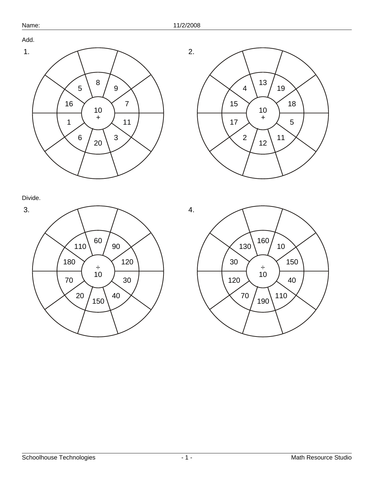



Divide.



4. ÷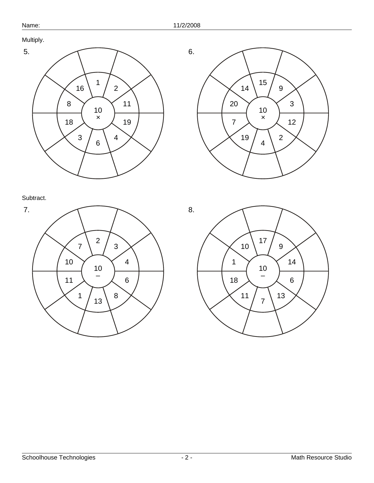Multiply.









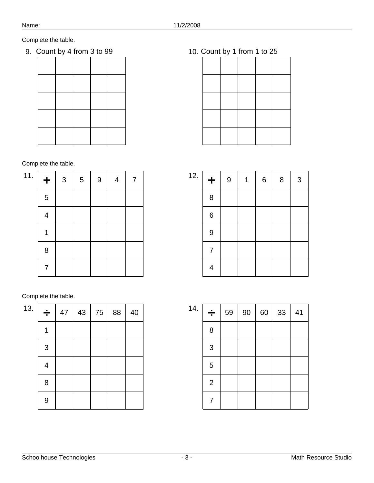9. Count by 4 from 3 to 99 10. Count by 1 from 1 to 25

Complete the table.

| 11. | $\ddot{}$                | $\sqrt{3}$ | $\sqrt{5}$ | $\boldsymbol{9}$ | $\overline{\mathcal{A}}$ | 7 |
|-----|--------------------------|------------|------------|------------------|--------------------------|---|
|     | $\sqrt{5}$               |            |            |                  |                          |   |
|     | $\overline{\mathcal{A}}$ |            |            |                  |                          |   |
|     | 1                        |            |            |                  |                          |   |
|     | $\bf 8$                  |            |            |                  |                          |   |
|     | 7                        |            |            |                  |                          |   |

| 13. | ÷ | 47 | 43 | 75 | 88 | 40 |
|-----|---|----|----|----|----|----|
|     |   |    |    |    |    |    |
|     | 3 |    |    |    |    |    |
|     | 4 |    |    |    |    |    |
|     | 8 |    |    |    |    |    |
|     | 9 |    |    |    |    |    |

| 12. | $\ddagger$               | $\boldsymbol{9}$ | 1 | $\,6\,$ | 8 | $\sqrt{3}$ |
|-----|--------------------------|------------------|---|---------|---|------------|
|     | 8                        |                  |   |         |   |            |
|     | $\,$ 6 $\,$              |                  |   |         |   |            |
|     | $\boldsymbol{9}$         |                  |   |         |   |            |
|     | $\overline{7}$           |                  |   |         |   |            |
|     | $\overline{\mathcal{A}}$ |                  |   |         |   |            |

| 14. | ÷              | 59 | 90 | 60 | 33 | 41 |
|-----|----------------|----|----|----|----|----|
|     | 8              |    |    |    |    |    |
|     | 3              |    |    |    |    |    |
|     | $\mathbf 5$    |    |    |    |    |    |
|     | $\overline{2}$ |    |    |    |    |    |
|     | 7              |    |    |    |    |    |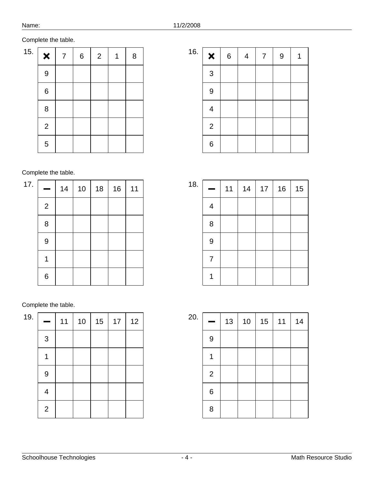| 15. | ×            | $\overline{7}$ | $\,$ 6 $\,$ | $\overline{2}$ | 8 |
|-----|--------------|----------------|-------------|----------------|---|
|     | 9            |                |             |                |   |
|     | $\,6$        |                |             |                |   |
|     | 8            |                |             |                |   |
|     | $\mathbf{2}$ |                |             |                |   |
|     | $\sqrt{5}$   |                |             |                |   |

| 16. | $\boldsymbol{\mathsf{x}}$ | $\,6$ | $\overline{\mathcal{A}}$ | 7 | $\overline{9}$ |  |
|-----|---------------------------|-------|--------------------------|---|----------------|--|
|     | 3                         |       |                          |   |                |  |
|     | 9                         |       |                          |   |                |  |
|     | 4                         |       |                          |   |                |  |
|     | $\overline{2}$            |       |                          |   |                |  |
|     | 6                         |       |                          |   |                |  |

Complete the table.

| 17. |              | 14 | $10$ | 18 | 16 | 11 |
|-----|--------------|----|------|----|----|----|
|     | $\mathbf{2}$ |    |      |    |    |    |
|     | $\bf 8$      |    |      |    |    |    |
|     | 9            |    |      |    |    |    |
|     | 1            |    |      |    |    |    |
|     | 6            |    |      |    |    |    |

| 19. |                          | 11 | 10 | 15 | $17$ | 12 |
|-----|--------------------------|----|----|----|------|----|
|     | $\mathfrak{S}$           |    |    |    |      |    |
|     |                          |    |    |    |      |    |
|     | $\overline{9}$           |    |    |    |      |    |
|     | $\overline{\mathcal{A}}$ |    |    |    |      |    |
|     | $\mathbf 2$              |    |    |    |      |    |

| 18. |                  | 11 | 14 | 17 | 16 | 15 |
|-----|------------------|----|----|----|----|----|
|     | 4                |    |    |    |    |    |
|     | 8                |    |    |    |    |    |
|     | $\boldsymbol{9}$ |    |    |    |    |    |
|     | 7                |    |    |    |    |    |
|     |                  |    |    |    |    |    |

| 20. |                | 13 | 10 | 15 | 11 | 14 |
|-----|----------------|----|----|----|----|----|
|     | 9              |    |    |    |    |    |
|     |                |    |    |    |    |    |
|     | $\overline{2}$ |    |    |    |    |    |
|     | $\,6\,$        |    |    |    |    |    |
|     | 8              |    |    |    |    |    |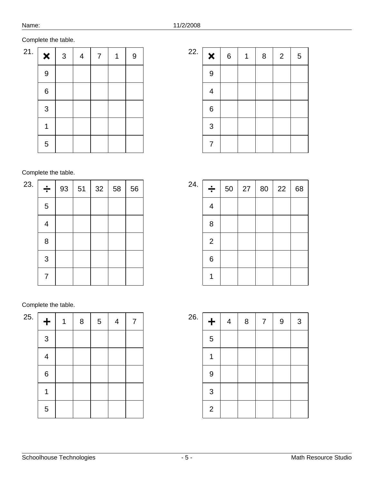| 21. | $\pmb{\times}$ | $\mathsf 3$ | 4 | $\overline{7}$ | $\boldsymbol{9}$ |
|-----|----------------|-------------|---|----------------|------------------|
|     | 9              |             |   |                |                  |
|     | $\,6\,$        |             |   |                |                  |
|     | 3              |             |   |                |                  |
|     | 1              |             |   |                |                  |
|     | $\sqrt{5}$     |             |   |                |                  |

| 22. | $\boldsymbol{\mathsf{x}}$ | $\,6$ | 8 | $\overline{2}$ | $\mathbf 5$ |
|-----|---------------------------|-------|---|----------------|-------------|
|     | $\boldsymbol{9}$          |       |   |                |             |
|     | $\overline{\mathcal{A}}$  |       |   |                |             |
|     | $\,6$                     |       |   |                |             |
|     | 3                         |       |   |                |             |
|     | 7                         |       |   |                |             |

Complete the table.

| 23. | ÷          | 93 | 51 | 32 | 58 | 56 |
|-----|------------|----|----|----|----|----|
|     | $\sqrt{5}$ |    |    |    |    |    |
|     | 4          |    |    |    |    |    |
|     | 8          |    |    |    |    |    |
|     | 3          |    |    |    |    |    |
|     | 7          |    |    |    |    |    |

| 25. | $\ddot{}$                | $\,8\,$ | $\sqrt{5}$ | $\overline{\mathbf{4}}$ | 7 |
|-----|--------------------------|---------|------------|-------------------------|---|
|     | 3                        |         |            |                         |   |
|     | $\overline{\mathcal{A}}$ |         |            |                         |   |
|     | $\,6\,$                  |         |            |                         |   |
|     |                          |         |            |                         |   |
|     | $\sqrt{5}$               |         |            |                         |   |

| 24. | ÷<br>┯                   | 50 | 27<br>$\mathsf{I}$ | 80 | 22 | 68 |
|-----|--------------------------|----|--------------------|----|----|----|
|     | $\overline{\mathcal{A}}$ |    |                    |    |    |    |
|     | 8                        |    |                    |    |    |    |
|     | $\overline{2}$           |    |                    |    |    |    |
|     | 6                        |    |                    |    |    |    |
|     |                          |    |                    |    |    |    |

| 26. | $\pm$          | $\overline{4}$ | 8 | $\overline{7}$ | 9 | 3 |
|-----|----------------|----------------|---|----------------|---|---|
|     | 5              |                |   |                |   |   |
|     | 1              |                |   |                |   |   |
|     | $\overline{9}$ |                |   |                |   |   |
|     | 3              |                |   |                |   |   |
|     | $\overline{2}$ |                |   |                |   |   |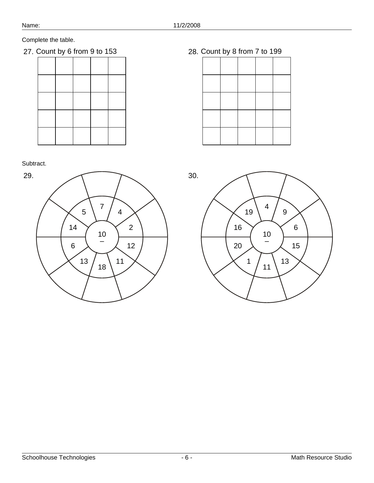27. Count by 6 from 9 to 153 28. Count by 8 from 7 to 199

Subtract.



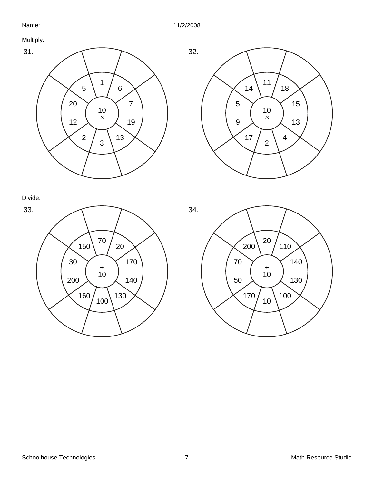Multiply.









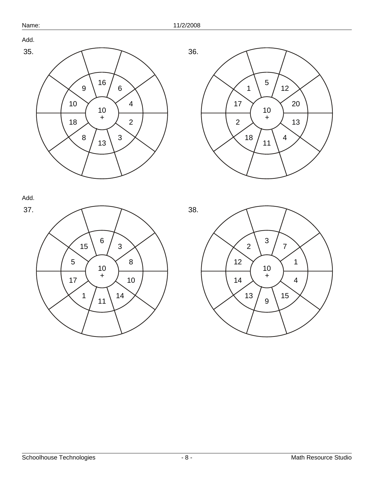

Add.

Add.





37. 



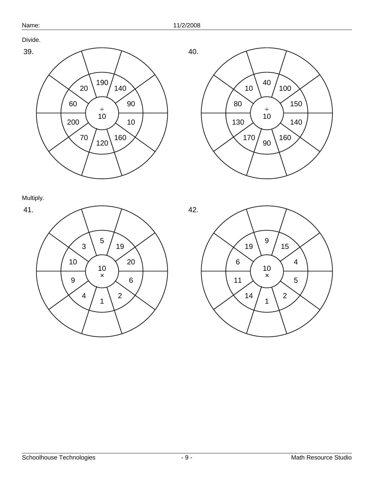Divide.





Multiply.



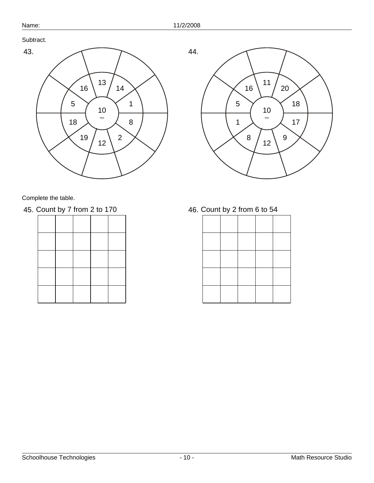Subtract.



Complete the table.

45. Count by 7 from 2 to 170 46. Count by 2 from 6 to 54

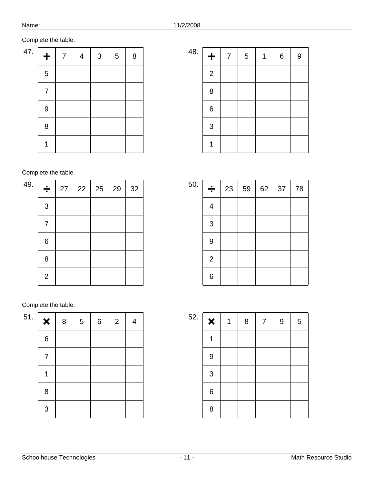| 47. | $\ddot{}$      | 7 | $\overline{4}$ | $\mathsf 3$ | $\sqrt{5}$ | 8 |
|-----|----------------|---|----------------|-------------|------------|---|
|     | 5              |   |                |             |            |   |
|     | $\overline{7}$ |   |                |             |            |   |
|     | $\overline{9}$ |   |                |             |            |   |
|     | 8              |   |                |             |            |   |
|     |                |   |                |             |            |   |

| 48. | $\ddot{}$      | 7 | $\sqrt{5}$ | 1 | $\,6$ | $\boldsymbol{9}$ |
|-----|----------------|---|------------|---|-------|------------------|
|     | $\overline{2}$ |   |            |   |       |                  |
|     | 8              |   |            |   |       |                  |
|     | $\,6$          |   |            |   |       |                  |
|     | 3              |   |            |   |       |                  |
|     |                |   |            |   |       |                  |

Complete the table.

| 49. | ÷              | 27 | $22 \mid 25 \mid$ | 29 | 32 |
|-----|----------------|----|-------------------|----|----|
|     | 3              |    |                   |    |    |
|     | 7              |    |                   |    |    |
|     | $\,6$          |    |                   |    |    |
|     | 8              |    |                   |    |    |
|     | $\overline{2}$ |    |                   |    |    |

| 51. | $\boldsymbol{\mathsf{x}}$ | 8 | $\sqrt{5}$ | $\,$ 6 $\,$ | $\overline{2}$ | $\overline{4}$ |
|-----|---------------------------|---|------------|-------------|----------------|----------------|
|     | $\,6$                     |   |            |             |                |                |
|     | $\overline{7}$            |   |            |             |                |                |
|     | 1                         |   |            |             |                |                |
|     | 8                         |   |            |             |                |                |
|     | 3                         |   |            |             |                |                |

| 50. | ÷                        | 23 | 59 | 62 | 37 | 78 |
|-----|--------------------------|----|----|----|----|----|
|     | $\overline{\mathcal{A}}$ |    |    |    |    |    |
|     | 3                        |    |    |    |    |    |
|     | $\overline{9}$           |    |    |    |    |    |
|     | $\overline{c}$           |    |    |    |    |    |
|     | 6                        |    |    |    |    |    |

| 52. | $\pmb{\times}$ | $\,8\,$ | $\overline{7}$ | $\overline{9}$ | 5 |
|-----|----------------|---------|----------------|----------------|---|
|     | 1              |         |                |                |   |
|     | $\overline{9}$ |         |                |                |   |
|     | 3              |         |                |                |   |
|     | $\,6$          |         |                |                |   |
|     | 8              |         |                |                |   |